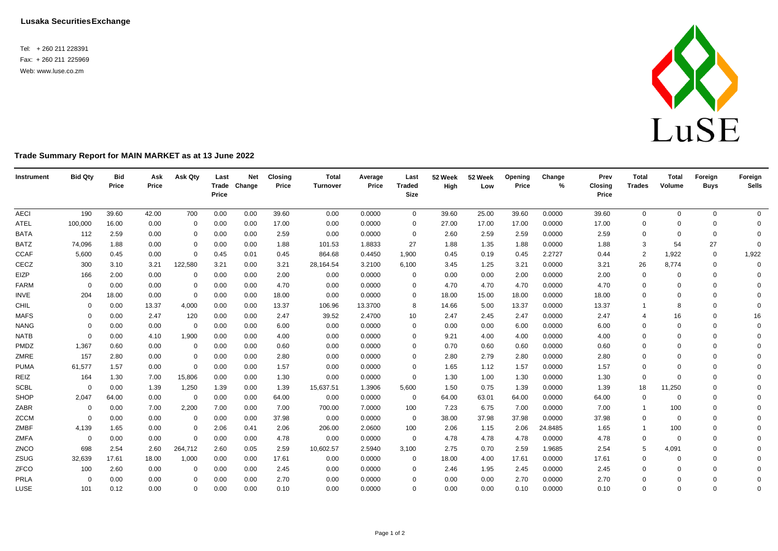Tel: + 260 211 228391 Fax: + 260 211 225969 Web[: www.luse.co.zm](http://www.luse.co.zm/)



## **Trade Summary Report for MAIN MARKET as at 13 June 2022**

| Instrument  | <b>Bid Qty</b> | <b>Bid</b><br>Price | Ask<br>Price | Ask Qty     | Last<br>Price | <b>Net</b><br>Trade Change | <b>Closing</b><br>Price | <b>Total</b><br><b>Turnover</b> | Average<br>Price | Last<br><b>Traded</b><br><b>Size</b> | 52 Week<br>High | 52 Week<br>Low | Opening<br>Price | Change<br>% | Prev<br><b>Closing</b><br>Price | <b>Total</b><br><b>Trades</b> | <b>Total</b><br>Volume | Foreign<br><b>Buys</b> | Foreign<br><b>Sells</b> |
|-------------|----------------|---------------------|--------------|-------------|---------------|----------------------------|-------------------------|---------------------------------|------------------|--------------------------------------|-----------------|----------------|------------------|-------------|---------------------------------|-------------------------------|------------------------|------------------------|-------------------------|
| <b>AECI</b> | 190            | 39.60               | 42.00        | 700         | 0.00          | 0.00                       | 39.60                   | 0.00                            | 0.0000           | $\overline{0}$                       | 39.60           | 25.00          | 39.60            | 0.0000      | 39.60                           | 0                             | $\mathbf 0$            | $\mathbf 0$            | $\overline{0}$          |
| <b>ATEL</b> | 100,000        | 16.00               | 0.00         | $\Omega$    | 0.00          | 0.00                       | 17.00                   | 0.00                            | 0.0000           | $\Omega$                             | 27.00           | 17.00          | 17.00            | 0.0000      | 17.00                           | $\mathbf 0$                   | $\Omega$               | $\Omega$               | $\mathbf{0}$            |
| <b>BATA</b> | 112            | 2.59                | 0.00         | 0           | 0.00          | 0.00                       | 2.59                    | 0.00                            | 0.0000           | 0                                    | 2.60            | 2.59           | 2.59             | 0.0000      | 2.59                            | $\mathbf 0$                   | $\Omega$               | $\mathbf 0$            | $\Omega$                |
| <b>BATZ</b> | 74,096         | 1.88                | 0.00         | $\mathbf 0$ | 0.00          | 0.00                       | 1.88                    | 101.53                          | 1.8833           | 27                                   | 1.88            | 1.35           | 1.88             | 0.0000      | 1.88                            | 3                             | 54                     | 27                     | $\Omega$                |
| <b>CCAF</b> | 5,600          | 0.45                | 0.00         | $\mathbf 0$ | 0.45          | 0.01                       | 0.45                    | 864.68                          | 0.4450           | 1,900                                | 0.45            | 0.19           | 0.45             | 2.2727      | 0.44                            | $\overline{2}$                | 1,922                  | $\mathbf 0$            | 1,922                   |
| CECZ        | 300            | 3.10                | 3.21         | 122,580     | 3.21          | 0.00                       | 3.21                    | 28,164.54                       | 3.2100           | 6,100                                | 3.45            | 1.25           | 3.21             | 0.0000      | 3.21                            | 26                            | 8,774                  | $\Omega$               | 0                       |
| EIZP        | 166            | 2.00                | 0.00         | $\Omega$    | 0.00          | 0.00                       | 2.00                    | 0.00                            | 0.0000           | $\mathbf{0}$                         | 0.00            | 0.00           | 2.00             | 0.0000      | 2.00                            | 0                             | $\Omega$               | $\Omega$               | $\Omega$                |
| <b>FARM</b> | $\Omega$       | 0.00                | 0.00         | $\Omega$    | 0.00          | 0.00                       | 4.70                    | 0.00                            | 0.0000           | 0                                    | 4.70            | 4.70           | 4.70             | 0.0000      | 4.70                            | $\mathbf 0$                   | $\Omega$               | $\Omega$               | $\Omega$                |
| INVE        | 204            | 18.00               | 0.00         | $\mathbf 0$ | 0.00          | 0.00                       | 18.00                   | 0.00                            | 0.0000           | $\Omega$                             | 18.00           | 15.00          | 18.00            | 0.0000      | 18.00                           | $\mathbf 0$                   | $\Omega$               | $\Omega$               | $\Omega$                |
| CHIL        | $\Omega$       | 0.00                | 13.37        | 4,000       | 0.00          | 0.00                       | 13.37                   | 106.96                          | 13.3700          | 8                                    | 14.66           | 5.00           | 13.37            | 0.0000      | 13.37                           |                               |                        | $\Omega$               | $\Omega$                |
| <b>MAFS</b> | 0              | 0.00                | 2.47         | 120         | 0.00          | 0.00                       | 2.47                    | 39.52                           | 2.4700           | 10                                   | 2.47            | 2.45           | 2.47             | 0.0000      | 2.47                            | 4                             | 16                     | $\Omega$               | 16                      |
| <b>NANG</b> | $\Omega$       | 0.00                | 0.00         | 0           | 0.00          | 0.00                       | 6.00                    | 0.00                            | 0.0000           | $\Omega$                             | 0.00            | 0.00           | 6.00             | 0.0000      | 6.00                            | 0                             | $\Omega$               | $\Omega$               | $\Omega$                |
| <b>NATB</b> | $\Omega$       | 0.00                | 4.10         | 1,900       | 0.00          | 0.00                       | 4.00                    | 0.00                            | 0.0000           | $\Omega$                             | 9.21            | 4.00           | 4.00             | 0.0000      | 4.00                            | $\mathbf 0$                   | $\Omega$               | $\Omega$               | $\Omega$                |
| PMDZ        | 1,367          | 0.60                | 0.00         | 0           | 0.00          | 0.00                       | 0.60                    | 0.00                            | 0.0000           | $\Omega$                             | 0.70            | 0.60           | 0.60             | 0.0000      | 0.60                            | $\mathbf 0$                   | $\Omega$               | $\Omega$               | $\Omega$                |
| ZMRE        | 157            | 2.80                | 0.00         | 0           | 0.00          | 0.00                       | 2.80                    | 0.00                            | 0.0000           | $\Omega$                             | 2.80            | 2.79           | 2.80             | 0.0000      | 2.80                            | $\mathbf 0$                   | $\Omega$               | $\Omega$               | $\Omega$                |
| <b>PUMA</b> | 61,577         | 1.57                | 0.00         | $\mathbf 0$ | 0.00          | 0.00                       | 1.57                    | 0.00                            | 0.0000           | 0                                    | 1.65            | 1.12           | 1.57             | 0.0000      | 1.57                            | $\mathbf 0$                   | $\Omega$               | $\Omega$               | $\Omega$                |
| REIZ        | 164            | 1.30                | 7.00         | 15,806      | 0.00          | 0.00                       | 1.30                    | 0.00                            | 0.0000           | $\mathbf 0$                          | 1.30            | 1.00           | 1.30             | 0.0000      | 1.30                            | $\mathbf 0$                   | $\Omega$               | $\Omega$               | $\Omega$                |
| <b>SCBL</b> | $\Omega$       | 0.00                | 1.39         | 1,250       | 1.39          | 0.00                       | 1.39                    | 15,637.51                       | 1.3906           | 5,600                                | 1.50            | 0.75           | 1.39             | 0.0000      | 1.39                            | 18                            | 11,250                 | $\Omega$               | $\Omega$                |
| SHOP        | 2,047          | 64.00               | 0.00         | $\mathbf 0$ | 0.00          | 0.00                       | 64.00                   | 0.00                            | 0.0000           | $\mathbf 0$                          | 64.00           | 63.01          | 64.00            | 0.0000      | 64.00                           | 0                             | $\Omega$               | $\Omega$               | $\Omega$                |
| ZABR        | $\mathbf 0$    | 0.00                | 7.00         | 2,200       | 7.00          | 0.00                       | 7.00                    | 700.00                          | 7.0000           | 100                                  | 7.23            | 6.75           | 7.00             | 0.0000      | 7.00                            | $\overline{1}$                | 100                    | $\Omega$               | $\Omega$                |
| <b>ZCCM</b> | $\Omega$       | 0.00                | 0.00         | 0           | 0.00          | 0.00                       | 37.98                   | 0.00                            | 0.0000           | $\mathbf{0}$                         | 38.00           | 37.98          | 37.98            | 0.0000      | 37.98                           | $\mathbf 0$                   | $\Omega$               | $\Omega$               | $\Omega$                |
| ZMBF        | 4,139          | 1.65                | 0.00         | 0           | 2.06          | 0.41                       | 2.06                    | 206.00                          | 2.0600           | 100                                  | 2.06            | 1.15           | 2.06             | 24.8485     | 1.65                            |                               | 100                    | $\Omega$               | $\Omega$                |
| ZMFA        | $\overline{0}$ | 0.00                | 0.00         | 0           | 0.00          | 0.00                       | 4.78                    | 0.00                            | 0.0000           | $\overline{0}$                       | 4.78            | 4.78           | 4.78             | 0.0000      | 4.78                            | 0                             | $\Omega$               | $\Omega$               | $\Omega$                |
| ZNCO        | 698            | 2.54                | 2.60         | 264,712     | 2.60          | 0.05                       | 2.59                    | 10,602.57                       | 2.5940           | 3,100                                | 2.75            | 0.70           | 2.59             | 1.9685      | 2.54                            | 5                             | 4,091                  | $\Omega$               | $\Omega$                |
| ZSUG        | 32,639         | 17.61               | 18.00        | 1,000       | 0.00          | 0.00                       | 17.61                   | 0.00                            | 0.0000           | $\mathbf 0$                          | 18.00           | 4.00           | 17.61            | 0.0000      | 17.61                           | 0                             | $\Omega$               | $\Omega$               | $\Omega$                |
| ZFCO        | 100            | 2.60                | 0.00         | $\Omega$    | 0.00          | 0.00                       | 2.45                    | 0.00                            | 0.0000           | $\Omega$                             | 2.46            | 1.95           | 2.45             | 0.0000      | 2.45                            | $\mathbf 0$                   |                        | $\Omega$               | $\Omega$                |
| PRLA        | 0              | 0.00                | 0.00         | $\Omega$    | 0.00          | 0.00                       | 2.70                    | 0.00                            | 0.0000           | $\Omega$                             | 0.00            | 0.00           | 2.70             | 0.0000      | 2.70                            | $\Omega$                      | $\Omega$               | $\Omega$               | $\mathbf 0$             |
| LUSE        | 101            | 0.12                | 0.00         | 0           | 0.00          | 0.00                       | 0.10                    | 0.00                            | 0.0000           | $\Omega$                             | 0.00            | 0.00           | 0.10             | 0.0000      | 0.10                            | $\mathbf 0$                   | $\Omega$               | $\Omega$               | $\Omega$                |